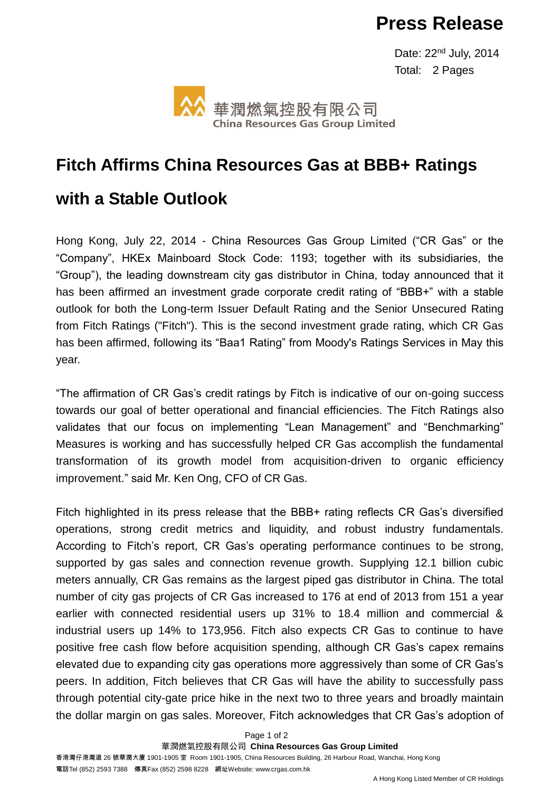## **Press Release**

 Date: 22nd July, 2014 Total: 2 Pages



# **Fitch Affirms China Resources Gas at BBB+ Ratings**

### **with a Stable Outlook**

Hong Kong, July 22, 2014 - China Resources Gas Group Limited ("CR Gas" or the "Company", HKEx Mainboard Stock Code: 1193; together with its subsidiaries, the "Group"), the leading downstream city gas distributor in China, today announced that it has been affirmed an investment grade corporate credit rating of "BBB+" with a stable outlook for both the Long-term Issuer Default Rating and the Senior Unsecured Rating from Fitch Ratings ("Fitch"). This is the second investment grade rating, which CR Gas has been affirmed, following its "Baa1 Rating" from Moody's Ratings Services in May this year.

"The affirmation of CR Gas's credit ratings by Fitch is indicative of our on-going success towards our goal of better operational and financial efficiencies. The Fitch Ratings also validates that our focus on implementing "Lean Management" and "Benchmarking" Measures is working and has successfully helped CR Gas accomplish the fundamental transformation of its growth model from acquisition-driven to organic efficiency improvement." said Mr. Ken Ong, CFO of CR Gas.

Fitch highlighted in its press release that the BBB+ rating reflects CR Gas's diversified operations, strong credit metrics and liquidity, and robust industry fundamentals. According to Fitch's report, CR Gas's operating performance continues to be strong, supported by gas sales and connection revenue growth. Supplying 12.1 billion cubic meters annually, CR Gas remains as the largest piped gas distributor in China. The total number of city gas projects of CR Gas increased to 176 at end of 2013 from 151 a year earlier with connected residential users up 31% to 18.4 million and commercial & industrial users up 14% to 173,956. Fitch also expects CR Gas to continue to have positive free cash flow before acquisition spending, although CR Gas's capex remains elevated due to expanding city gas operations more aggressively than some of CR Gas's peers. In addition, Fitch believes that CR Gas will have the ability to successfully pass through potential city-gate price hike in the next two to three years and broadly maintain the dollar margin on gas sales. Moreover, Fitch acknowledges that CR Gas's adoption of